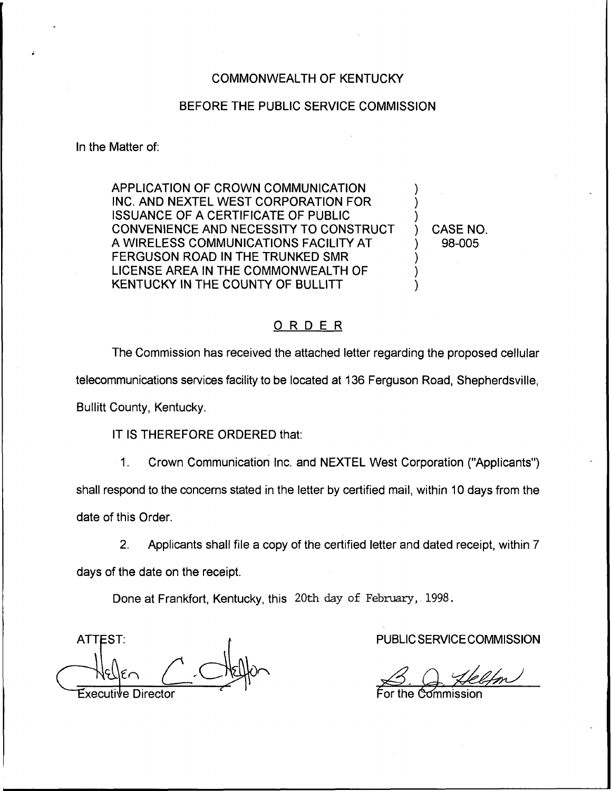#### COMMONWEALTH OF KENTUCKY

#### BEFORE THE PUBLIC SERVICE COMMISSION

In the Matter of:

APPLICATION OF CROWN COMMUNICATION INC. AND NEXTEL WEST CORPORATION FOR ISSUANCE OF A CERTIFICATE OF PUBLIC CONVENIENCE AND NECESSITY TO CONSTRUCT A WIRELESS COMMUNICATIONS FACILITY AT FERGUSON ROAD IN THE TRUNKED SMR LICENSE AREA IN THE COMMONWEALTH OF KENTUCKY IN THE COUNTY OF BULLITT

) CASE NO. ) 98-005

) ) )

) ) )

# ORDER

The Commission has received the attached letter regarding the proposed cellular telecommunications services facility to be located at 136 Ferguson Road, Shepherdsville, Bullitt County, Kentucky.

IT IS THEREFORE ORDERED that:

1. Crown Communication Inc. and NEXTEL West Corporation ("Applicants") shall respond to the concerns stated in the letter by certified mail, within 10 days from the date of this Order.

2. Applicants shall file a copy of the certified letter and dated receipt, within 7 days of the date on the receipt.

Done at Frankfort, Kentucky, this 20th day of February, 1998.

ATTEST Executive Director

PUBLIC SERVICE COMMISSION

For the Commissic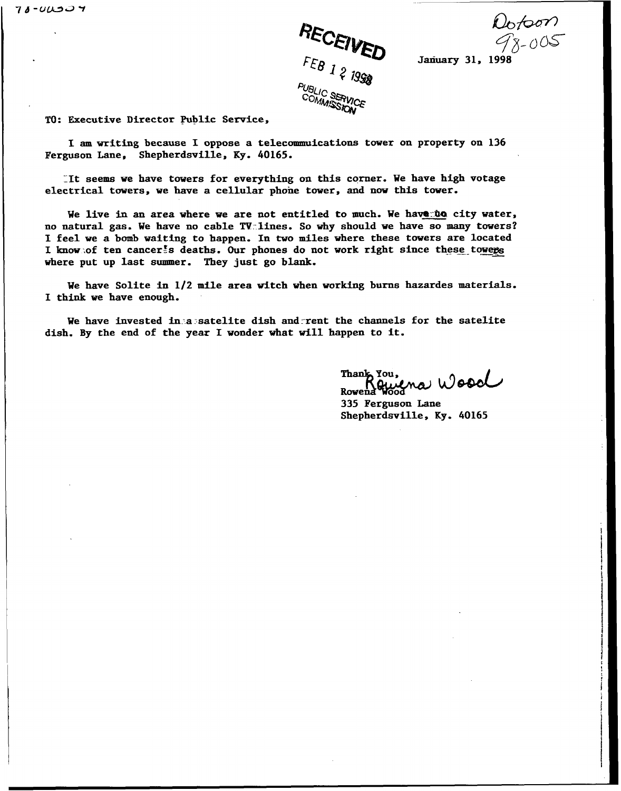

 $\omega_{6}$ <br> $\sqrt{8}-005$ <br>January 31, 1998

T0: Executive Director Public Service,

I am writing because I oppose <sup>a</sup> telecommuications tower on property on <sup>136</sup> Ferguson Lane, Shepherdsville, Ky. 40165.

It seems we have towers for everything on this corner. We have high votage electrical towers, we have a cellular phone tower, and now this tower.

We live in an area where we are not entitled to much. We have to city water, no natural gas. We have no cable TV.lines. So why should we have so many towers? I feel we <sup>a</sup> bomb waiting to happen. In two miles where these towers are located I know of ten cancer<sup>t</sup>s deaths. Our phones do not work right since these towers where put up last summer. They just go blank.

We have Solite in 1/2 mile area witch when working burns hazardes materials. I think we have enough.

We have invested in a satelite dish and rent the channels for the satelite dish. By the end of the year I wonder what will happen to it.

Thank You Rowen.

335 Ferguson Lane Shepherdsville, Ky. 40165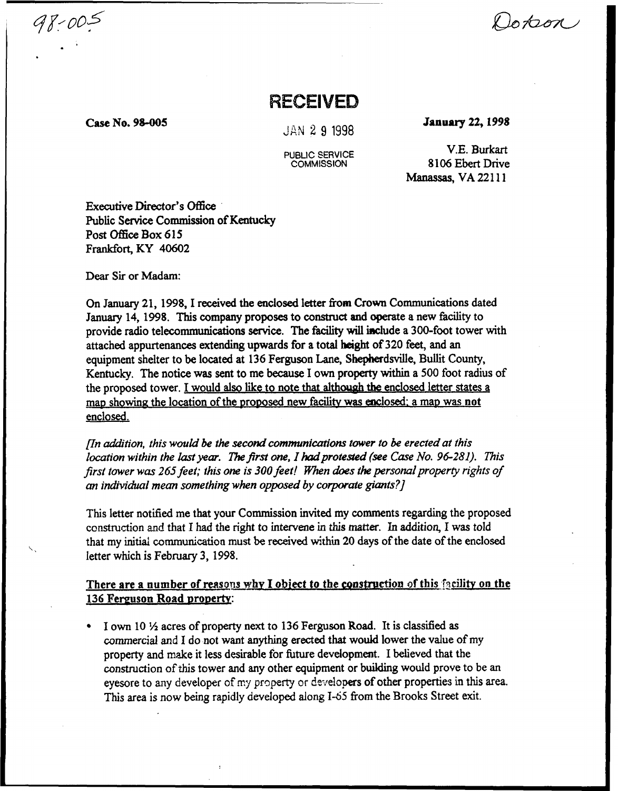Dokon

# RECEIVED

Case No. 98-005

98-005

JAN 2 9 1998

PUBLiC SERVICE **COMMISSION** 

january 22, 1998

V.E.Burkart 8106 Ebert Drive Manassas, VA 22111

Executive Director's Office Public Service Commission of Kentucky Post Office Box 615 Frankfort, KY 40602

Dear Sir or Madam:

On January 21, 1998, I received the enclosed letter from Crown Communications dated January 14, 1998. This company proposes to construct and operate a new facility to provide radio telecommunications service. The facility will iaclude a 300-foot tower with attached appurtenances extending upwards for a total height of 320 feet, and an equipment shelter to be located at 136 Ferguson Lane, Shepherdsville, Bullit County, Kentucky. The notice was sent to me because I own property within a 500 foot radius of the proposed tower. I would also like to note that although the enclosed letter states a map showing the location of the proposed new facility was enclosed; a map was not enclosed.

 $[In addition, this would be the second communications tower to be erected at this$ location within the last year. The first one, I had protested (see Case No. 96-281). This first tower was 265 feet; this one is 300 feet! When does the personal property rights of an individual mean something when opposed by corporate giants?]

This letter notified me that your Commission invited my comments regarding the proposed construction and that I had the right to intervene in this matter. In addition, I was told that my initial communication must be received within 20 days of the date of the enclosed letter which is February 3, 1998.

There are a number of reasons why I object to the construction of this facility on the 136 Ferguson Road property:

 $\frac{1}{2}$  own 10  $\frac{1}{2}$  acres of property next to 136 Ferguson Road. It is classified as commercial and I do not want anything erected that would lower the value of my property and make it less desirable for future development. I believed that the construction of this tower and any other equipment or building would prove to be an eyesore to any developer of my property or developers of other properties in this area. This area is now being rapidly developed along 1-65 from the Brooks Street exit.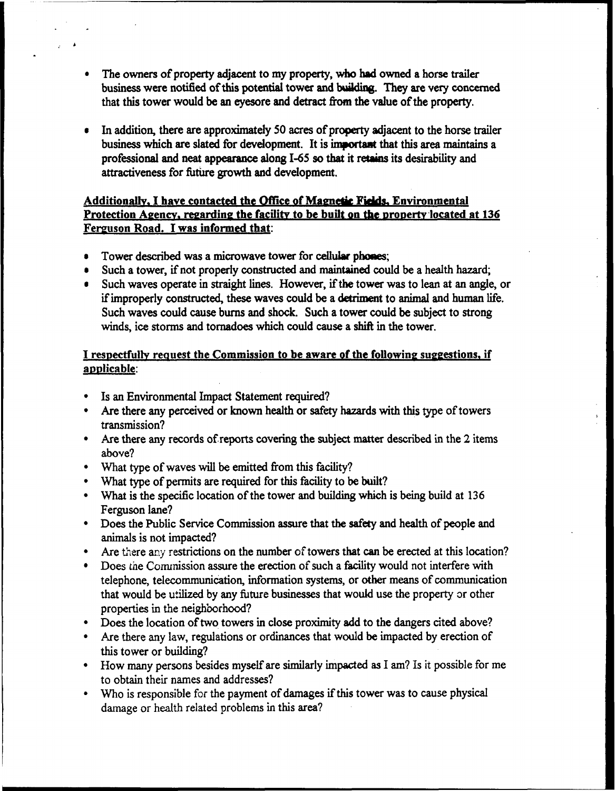- <sup>~</sup> The owners of property adjacent to my property, who had owned a horse trailer business were notified of this potential tower and building. They are very concerned that this tower would be an eyesore and detract from the value of the property.
- In addition, there are approximately 50 acres of property adjacent to the horse trailer business which are slated for development. It is important that this area maintains a professional and neat appearance along I-65 so that it retains its desirability and attractiveness for future growth and development.

# Additionally, I have contacted the Office of Magnetic Fields, Environmental Protection Agency, regarding the facility to be built on the property located at 136 Ferguson Road. I was informed that:

- Tower described was a microwave tower for cellular phones;
- Such a tower, if not properly constructed and maintained could be a health hazard;
- Such waves operate in straight lines. However, ifthe tower was to lean at an angle, or ifimproperly constructed, these waves could be a detriment to animal and human life. Such waves could cause burns and shock. Such a tower could be subject to strong winds, ice storms and tornadoes which could cause a shift in the tower.

### I respectfully request the Commission to be aware of the following suggestions, if applicable:

- Is an Environmental Impact Statement required?
- Are there any perceived or known health or safety hazards with this type of towers transmission?
- Are there any records ofreports covering the subject matter described in the 2 items above?
- What type of waves will be emitted from this facility?
- What type of permits are required for this facility to be built?
- What is the specific location of the tower and building which is being build at 136 Ferguson lane?
- Does the Public Service Commission assure that the safety and health of people and animals is not impacted?
- Are there any restrictions on the number of towers that can be erected at this location?
- Does the Conunission assure the erection of such a facility would not interfere with telephone, telecommunication, information systems, or other means of communication that would be utilized by any future businesses that would use the property or other properties in the neighborhood?
- Does the location of two towers in close proximity add to the dangers cited above?
- Are there any law, regulations or ordinances that would be impacted by erection of this tower or building?
- How many persons besides myself are similarly impacted as I am? Is it possible for me to obtain their names and addresses'/
- Who is responsible for the payment of damages if this tower was to cause physical damage or health related problems in this area?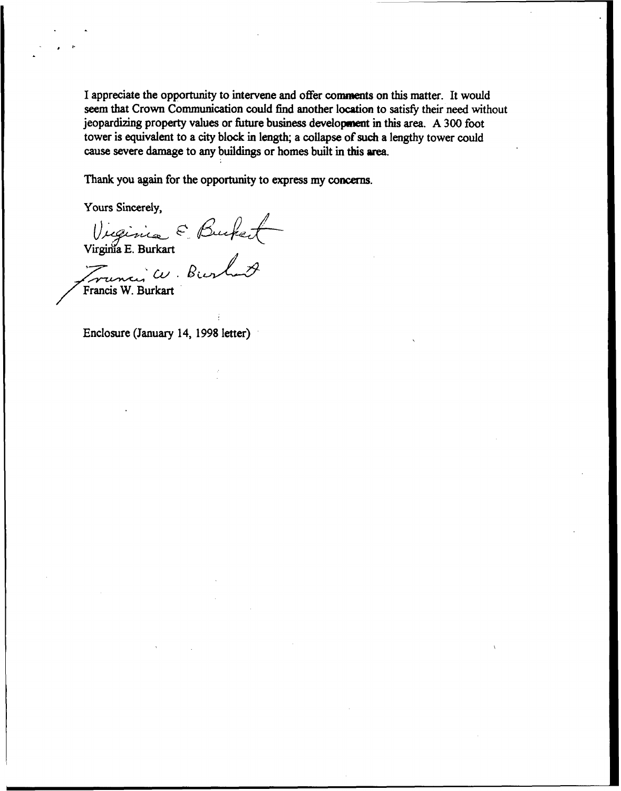I appreciate the opportunity to intervene and offer comments on this matter. It would seem that Crown Communication could find another location to satisfy their need without jeopardizing property values or future business development in this area. A 300 foot tower is equivalent to a city block in length; a collapse of such a lengthy tower could cause severe damage to any buildings or homes built in this area.

Thank you again for the opportunity to express my concerns.

Yours Sincerely,

Virginia E. Burkar Surce & Durker<br>ia E. Burkart<br>mar W. Burlet

Enclosure {January 14, 1998 letter)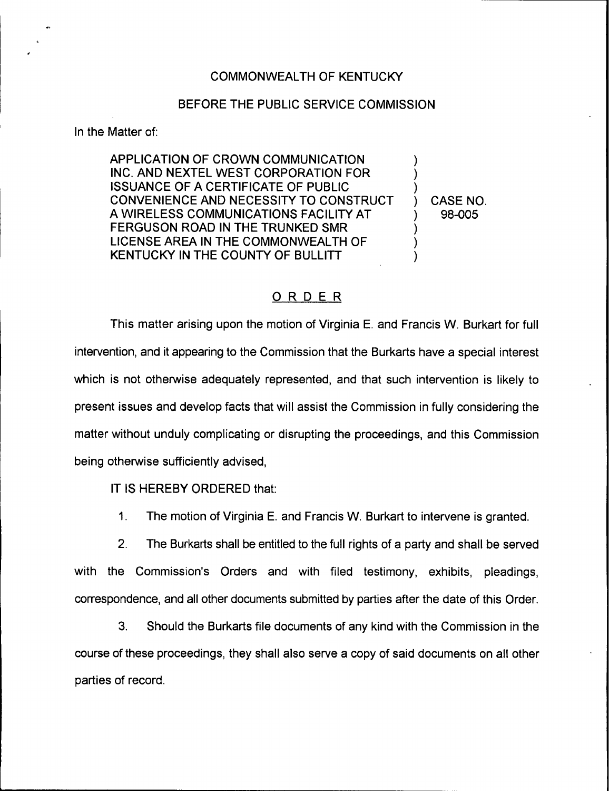#### COMMONWEALTH OF KENTUCKY

#### BEFORE THE PUBLIC SERVICE COMMISSION

In the Matter of:

APPLICATION OF CROWN COMMUNICATION INC. AND NEXTEL WEST CORPORATION FOR ISSUANCE OF A CERTIFICATE OF PUBLIC CONVENIENCE AND NECESSITY TO CONSTRUCT A WIRELESS COMMUNICATIONS FACILITY AT FERGUSON ROAD IN THE TRUNKED SMR LICENSE AREA IN THE COMMONWEALTH OF KENTUCKY IN THE COUNTY OF BULLITT ) ) ) ) CASE NO.  $\overline{\phantom{a}}$  $\overline{\mathcal{C}}$ )

# ) 98-005

# ORDER

This matter arising upon the motion of Virginia E. and Francis W. Burkart for full intervention, and it appearing to the Commission that the Burkarts have a special interest which is not otherwise adequately represented, and that such intervention is likely to present issues and develop facts that will assist the Commission in fully considering the matter without unduly complicating or disrupting the proceedings, and this Commission being otherwise sufficiently advised,

IT IS HEREBY ORDERED that:

 $1<sub>1</sub>$ The motion of Virginia E. and Francis W. Burkart to intervene is granted.

2. The Burkarts shall be entitled to the full rights of a party and shall be served with the Commission's Orders and with filed testimony, exhibits, pleadings, correspondence, and all other documents submitted by parties after the date of this Order.

3. Should the Burkarts file documents of any kind with the Commission in the course of these proceedings, they shall also serve a copy of said documents on all other parties of record.